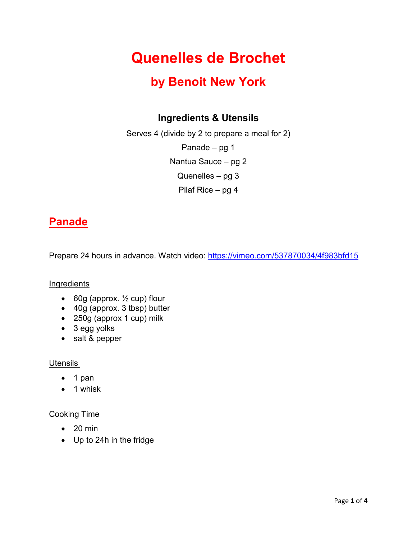# **Quenelles de Brochet**

## **by Benoit New York**

### **Ingredients & Utensils**

Serves 4 (divide by 2 to prepare a meal for 2) Panade – pg 1

Nantua Sauce – pg 2

Quenelles – pg 3

Pilaf Rice – pg 4

## **Panade**

Prepare 24 hours in advance. Watch video:<https://vimeo.com/537870034/4f983bfd15>

#### **Ingredients**

- 60g (approx.  $\frac{1}{2}$  cup) flour
- 40g (approx. 3 tbsp) butter
- 250g (approx 1 cup) milk
- 3 egg yolks
- salt & pepper

#### Utensils

- 1 pan
- 1 whisk

#### Cooking Time

- $\bullet$  20 min
- Up to 24h in the fridge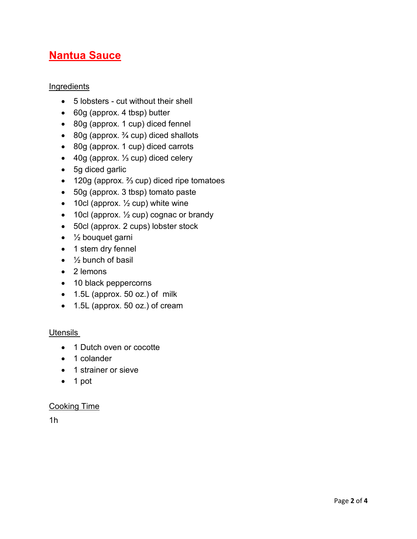## **Nantua Sauce**

#### Ingredients

- 5 lobsters cut without their shell
- 60g (approx. 4 tbsp) butter
- 80g (approx. 1 cup) diced fennel
- 80g (approx.  $\frac{3}{4}$  cup) diced shallots
- 80g (approx. 1 cup) diced carrots
- 40g (approx. ⅓ cup) diced celery
- 5g diced garlic
- 120g (approx. ⅔ cup) diced ripe tomatoes
- 50g (approx. 3 tbsp) tomato paste
- 10cl (approx.  $\frac{1}{2}$  cup) white wine
- 10cl (approx.  $\frac{1}{2}$  cup) cognac or brandy
- 50cl (approx. 2 cups) lobster stock
- $\bullet$   $\frac{1}{2}$  bouquet garni
- 1 stem dry fennel
- $\bullet$   $\frac{1}{2}$  bunch of basil
- 2 lemons
- 10 black peppercorns
- 1.5L (approx. 50 oz.) of milk
- 1.5L (approx. 50 oz.) of cream

#### **Utensils**

- 1 Dutch oven or cocotte
- 1 colander
- 1 strainer or sieve
- 1 pot

#### Cooking Time

1h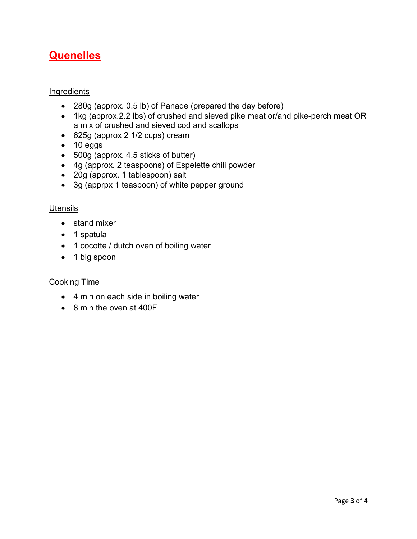## **Quenelles**

#### Ingredients

- 280g (approx. 0.5 lb) of Panade (prepared the day before)
- 1kg (approx.2.2 lbs) of crushed and sieved pike meat or/and pike-perch meat OR a mix of crushed and sieved cod and scallops
- 625g (approx 2 1/2 cups) cream
- 10 eggs
- 500g (approx. 4.5 sticks of butter)
- 4g (approx. 2 teaspoons) of Espelette chili powder
- 20g (approx. 1 tablespoon) salt
- 3g (apprpx 1 teaspoon) of white pepper ground

#### **Utensils**

- stand mixer
- 1 spatula
- 1 cocotte / dutch oven of boiling water
- 1 big spoon

#### Cooking Time

- 4 min on each side in boiling water
- 8 min the oven at 400F